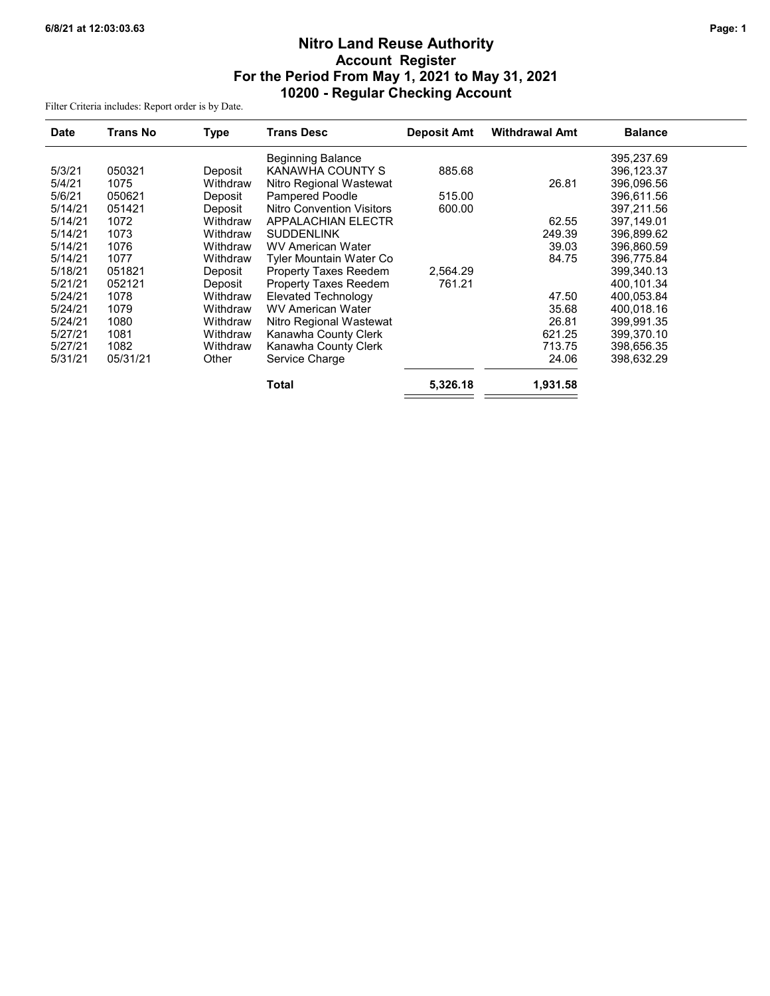# Nitro Land Reuse Authority Account Register For the Period From May 1, 2021 to May 31, 2021 10200 - Regular Checking Account

Filter Criteria includes: Report order is by Date.

| <b>Date</b> | <b>Trans No</b> | Type     | <b>Trans Desc</b>                | <b>Deposit Amt</b> | <b>Withdrawal Amt</b> | <b>Balance</b> |  |
|-------------|-----------------|----------|----------------------------------|--------------------|-----------------------|----------------|--|
|             |                 |          | <b>Beginning Balance</b>         |                    |                       | 395,237.69     |  |
| 5/3/21      | 050321          | Deposit  | KANAWHA COUNTY S                 | 885.68             |                       | 396.123.37     |  |
| 5/4/21      | 1075            | Withdraw | Nitro Regional Wastewat          |                    | 26.81                 | 396,096.56     |  |
| 5/6/21      | 050621          | Deposit  | <b>Pampered Poodle</b>           | 515.00             |                       | 396.611.56     |  |
| 5/14/21     | 051421          | Deposit  | <b>Nitro Convention Visitors</b> | 600.00             |                       | 397,211.56     |  |
| 5/14/21     | 1072            | Withdraw | <b>APPALACHIAN ELECTR</b>        |                    | 62.55                 | 397.149.01     |  |
| 5/14/21     | 1073            | Withdraw | <b>SUDDENLINK</b>                |                    | 249.39                | 396,899.62     |  |
| 5/14/21     | 1076            | Withdraw | <b>WV American Water</b>         |                    | 39.03                 | 396.860.59     |  |
| 5/14/21     | 1077            | Withdraw | Tyler Mountain Water Co          |                    | 84.75                 | 396,775.84     |  |
| 5/18/21     | 051821          | Deposit  | <b>Property Taxes Reedem</b>     | 2,564.29           |                       | 399,340.13     |  |
| 5/21/21     | 052121          | Deposit  | <b>Property Taxes Reedem</b>     | 761.21             |                       | 400,101.34     |  |
| 5/24/21     | 1078            | Withdraw | <b>Elevated Technology</b>       |                    | 47.50                 | 400,053.84     |  |
| 5/24/21     | 1079            | Withdraw | <b>WV American Water</b>         |                    | 35.68                 | 400.018.16     |  |
| 5/24/21     | 1080            | Withdraw | Nitro Regional Wastewat          |                    | 26.81                 | 399,991.35     |  |
| 5/27/21     | 1081            | Withdraw | Kanawha County Clerk             |                    | 621.25                | 399,370.10     |  |
| 5/27/21     | 1082            | Withdraw | Kanawha County Clerk             |                    | 713.75                | 398,656.35     |  |
| 5/31/21     | 05/31/21        | Other    | Service Charge                   |                    | 24.06                 | 398,632.29     |  |
|             |                 |          | <b>Total</b>                     | 5,326.18           | 1,931.58              |                |  |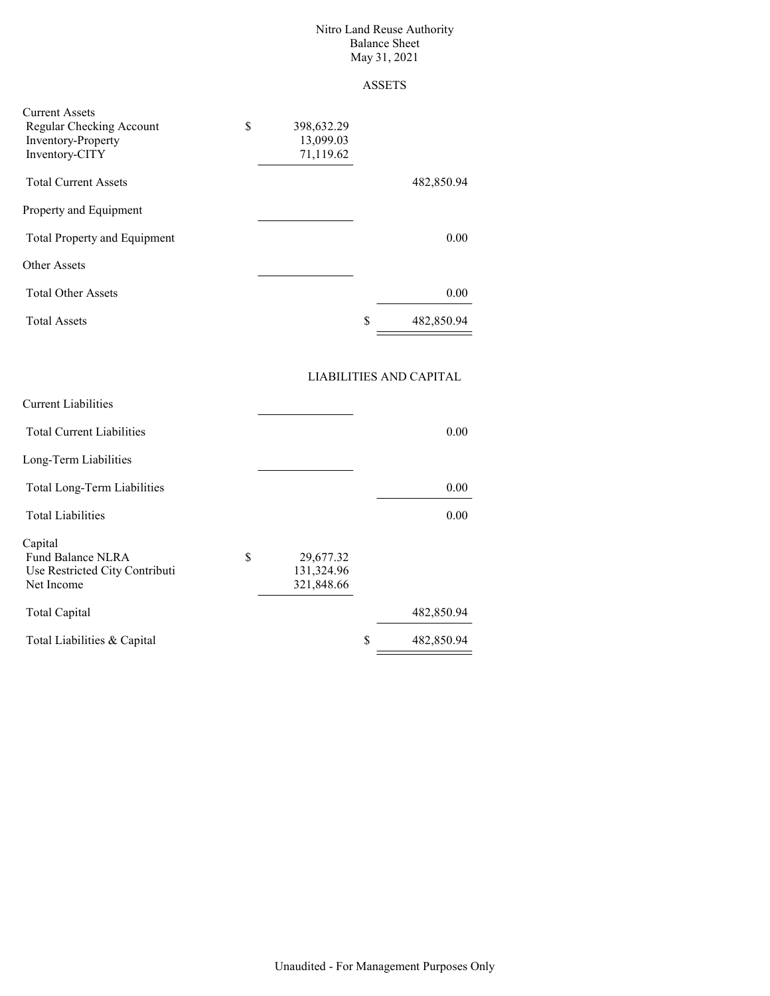#### Nitro Land Reuse Authority Balance Sheet May 31, 2021

### ASSETS

| <b>Current Assets</b><br>\$<br>Regular Checking Account<br><b>Inventory-Property</b><br>Inventory-CITY | 398,632.29<br>13,099.03<br>71,119.62 |                  |
|--------------------------------------------------------------------------------------------------------|--------------------------------------|------------------|
| <b>Total Current Assets</b>                                                                            |                                      | 482,850.94       |
| Property and Equipment                                                                                 |                                      |                  |
| <b>Total Property and Equipment</b>                                                                    |                                      | 0.00             |
| <b>Other Assets</b>                                                                                    |                                      |                  |
| <b>Total Other Assets</b>                                                                              |                                      | 0.00             |
| <b>Total Assets</b>                                                                                    |                                      | \$<br>482,850.94 |

## LIABILITIES AND CAPITAL

|                 |                                  | <b>Current Liabilities</b>     |  |  |  |  |
|-----------------|----------------------------------|--------------------------------|--|--|--|--|
| 0.00            | <b>Total Current Liabilities</b> |                                |  |  |  |  |
|                 |                                  | Long-Term Liabilities          |  |  |  |  |
| 0.00            |                                  | Total Long-Term Liabilities    |  |  |  |  |
| 0.00            |                                  | <b>Total Liabilities</b>       |  |  |  |  |
|                 |                                  |                                |  |  |  |  |
| S<br>29,677.32  |                                  | Fund Balance NLRA              |  |  |  |  |
| 131,324.96      |                                  | Use Restricted City Contributi |  |  |  |  |
| 321,848.66      |                                  | Net Income                     |  |  |  |  |
| 482,850.94      |                                  | Total Capital                  |  |  |  |  |
| S<br>482,850.94 | Total Liabilities & Capital      |                                |  |  |  |  |
|                 |                                  | Capital                        |  |  |  |  |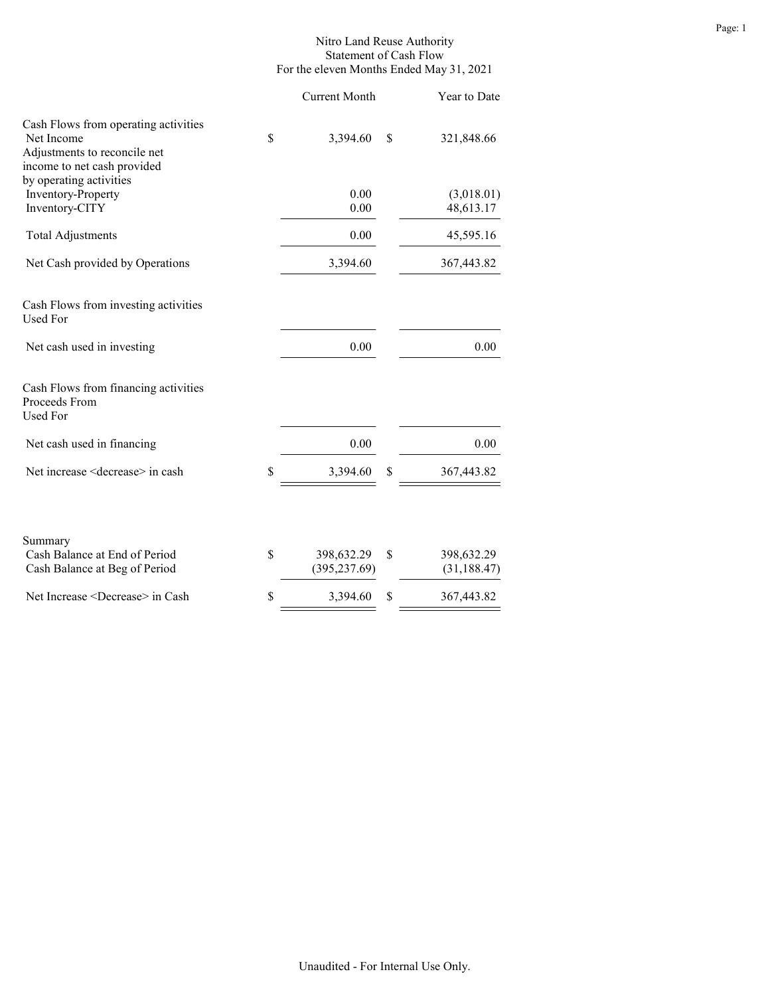### Nitro Land Reuse Authority Statement of Cash Flow For the eleven Months Ended May 31, 2021

|                                                                                                                                              | <b>Current Month</b>              |    | Year to Date               |
|----------------------------------------------------------------------------------------------------------------------------------------------|-----------------------------------|----|----------------------------|
| Cash Flows from operating activities<br>Net Income<br>Adjustments to reconcile net<br>income to net cash provided<br>by operating activities | \$<br>3,394.60                    | S  | 321,848.66                 |
| Inventory-Property<br>Inventory-CITY                                                                                                         | 0.00<br>0.00                      |    | (3,018.01)<br>48,613.17    |
| <b>Total Adjustments</b>                                                                                                                     | 0.00                              |    | 45,595.16                  |
| Net Cash provided by Operations                                                                                                              | 3,394.60                          |    | 367,443.82                 |
| Cash Flows from investing activities<br><b>Used For</b>                                                                                      |                                   |    |                            |
| Net cash used in investing                                                                                                                   | 0.00                              |    | 0.00                       |
| Cash Flows from financing activities<br>Proceeds From<br><b>Used For</b>                                                                     |                                   |    |                            |
| Net cash used in financing                                                                                                                   | 0.00                              |    | 0.00                       |
| Net increase <decrease> in cash</decrease>                                                                                                   | \$<br>3,394.60                    | \$ | 367,443.82                 |
| Summary<br>Cash Balance at End of Period<br>Cash Balance at Beg of Period                                                                    | \$<br>398,632.29<br>(395, 237.69) | \$ | 398,632.29<br>(31, 188.47) |
| Net Increase <decrease> in Cash</decrease>                                                                                                   | \$<br>3,394.60                    | \$ | 367,443.82                 |